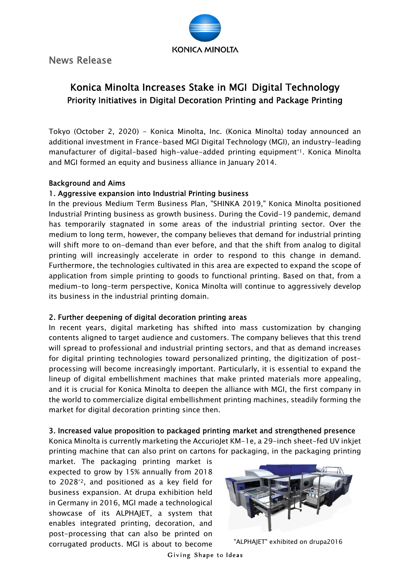**KONICA MINOLTA** 

News Release

# Konica Minolta Increases Stake in MGI Digital Technology Priority Initiatives in Digital Decoration Printing and Package Printing

Tokyo (October 2, 2020) - Konica Minolta, Inc. (Konica Minolta) today announced an additional investment in France-based MGI Digital Technology (MGI), an industry-leading manufacturer of digital-based high-value-added printing equipment<sup>\*1</sup>. Konica Minolta and MGI formed an equity and business alliance in January 2014.

### Background and Aims

## 1. Aggressive expansion into Industrial Printing business

In the previous Medium Term Business Plan, "SHINKA 2019," Konica Minolta positioned Industrial Printing business as growth business. During the Covid-19 pandemic, demand has temporarily stagnated in some areas of the industrial printing sector. Over the medium to long term, however, the company believes that demand for industrial printing will shift more to on-demand than ever before, and that the shift from analog to digital printing will increasingly accelerate in order to respond to this change in demand. Furthermore, the technologies cultivated in this area are expected to expand the scope of application from simple printing to goods to functional printing. Based on that, from a medium-to long-term perspective, Konica Minolta will continue to aggressively develop its business in the industrial printing domain.

## 2. Further deepening of digital decoration printing areas

In recent years, digital marketing has shifted into mass customization by changing contents aligned to target audience and customers. The company believes that this trend will spread to professional and industrial printing sectors, and that as demand increases for digital printing technologies toward personalized printing, the digitization of postprocessing will become increasingly important. Particularly, it is essential to expand the lineup of digital embellishment machines that make printed materials more appealing, and it is crucial for Konica Minolta to deepen the alliance with MGI, the first company in the world to commercialize digital embellishment printing machines, steadily forming the market for digital decoration printing since then.

#### 3. Increased value proposition to packaged printing market and strengthened presence

Konica Minolta is currently marketing the AccurioJet KM-1e, a 29-inch sheet-fed UV inkjet printing machine that can also print on cartons for packaging, in the packaging printing

market. The packaging printing market is expected to grow by 15% annually from 2018 to 2028\*2, and positioned as a key field for business expansion. At drupa exhibition held in Germany in 2016, MGI made a technological showcase of its ALPHAJET, a system that enables integrated printing, decoration, and post-processing that can also be printed on corrugated products. MGI is about to become "ALPHAJET" exhibited on drupa2016

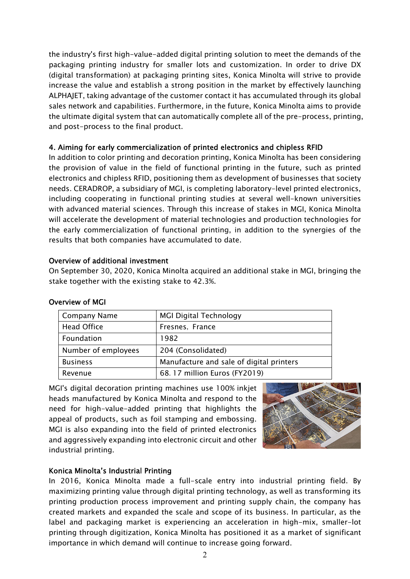the industry's first high-value-added digital printing solution to meet the demands of the packaging printing industry for smaller lots and customization. In order to drive DX (digital transformation) at packaging printing sites, Konica Minolta will strive to provide increase the value and establish a strong position in the market by effectively launching ALPHAJET, taking advantage of the customer contact it has accumulated through its global sales network and capabilities. Furthermore, in the future, Konica Minolta aims to provide the ultimate digital system that can automatically complete all of the pre-process, printing, and post-process to the final product.

## 4. Aiming for early commercialization of printed electronics and chipless RFID

In addition to color printing and decoration printing, Konica Minolta has been considering the provision of value in the field of functional printing in the future, such as printed electronics and chipless RFID, positioning them as development of businesses that society needs. CERADROP, a subsidiary of MGI, is completing laboratory-level printed electronics, including cooperating in functional printing studies at several well-known universities with advanced material sciences. Through this increase of stakes in MGI, Konica Minolta will accelerate the development of material technologies and production technologies for the early commercialization of functional printing, in addition to the synergies of the results that both companies have accumulated to date.

## Overview of additional investment

On September 30, 2020, Konica Minolta acquired an additional stake in MGI, bringing the stake together with the existing stake to 42.3%.

| <b>Company Name</b> | <b>MGI Digital Technology</b>            |
|---------------------|------------------------------------------|
| <b>Head Office</b>  | Fresnes, France                          |
| Foundation          | 1982                                     |
| Number of employees | 204 (Consolidated)                       |
| <b>Business</b>     | Manufacture and sale of digital printers |
| Revenue             | 68.17 million Euros (FY2019)             |

## Overview of MGI

MGI's digital decoration printing machines use 100% inkjet heads manufactured by Konica Minolta and respond to the need for high-value-added printing that highlights the appeal of products, such as foil stamping and embossing. MGI is also expanding into the field of printed electronics and aggressively expanding into electronic circuit and other industrial printing.



## Konica Minolta's Industrial Printing

In 2016, Konica Minolta made a full-scale entry into industrial printing field. By maximizing printing value through digital printing technology, as well as transforming its printing production process improvement and printing supply chain, the company has created markets and expanded the scale and scope of its business. In particular, as the label and packaging market is experiencing an acceleration in high-mix, smaller-lot printing through digitization, Konica Minolta has positioned it as a market of significant importance in which demand will continue to increase going forward.